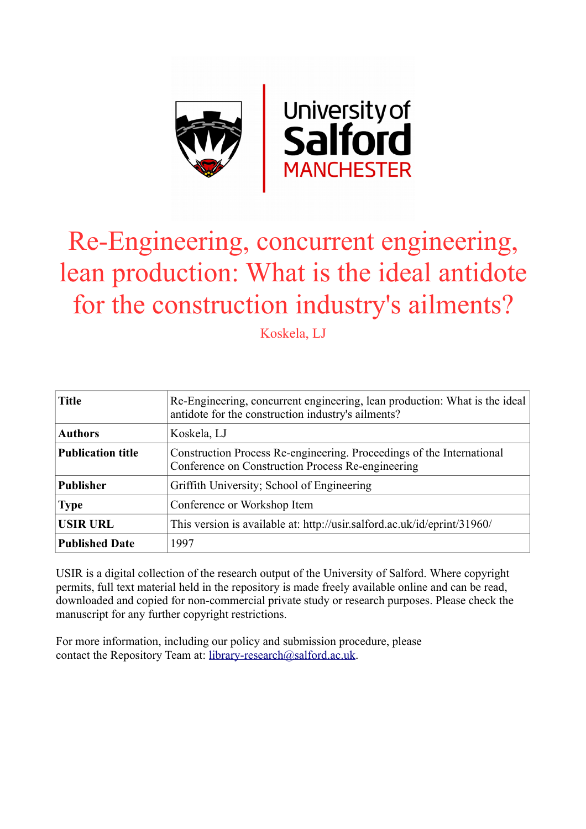

# Re-Engineering, concurrent engineering, lean production: What is the ideal antidote for the construction industry's ailments?

Koskela, LJ

| <b>Title</b>             | Re-Engineering, concurrent engineering, lean production: What is the ideal<br>antidote for the construction industry's ailments? |
|--------------------------|----------------------------------------------------------------------------------------------------------------------------------|
| <b>Authors</b>           | Koskela, LJ                                                                                                                      |
| <b>Publication title</b> | Construction Process Re-engineering. Proceedings of the International<br>Conference on Construction Process Re-engineering       |
| <b>Publisher</b>         | Griffith University; School of Engineering                                                                                       |
| <b>Type</b>              | Conference or Workshop Item                                                                                                      |
| <b>USIR URL</b>          | This version is available at: http://usir.salford.ac.uk/id/eprint/31960/                                                         |
| <b>Published Date</b>    | 1997                                                                                                                             |

USIR is a digital collection of the research output of the University of Salford. Where copyright permits, full text material held in the repository is made freely available online and can be read, downloaded and copied for non-commercial private study or research purposes. Please check the manuscript for any further copyright restrictions.

For more information, including our policy and submission procedure, please contact the Repository Team at: [library-research@salford.ac.uk.](mailto:library-research@salford.ac.uk)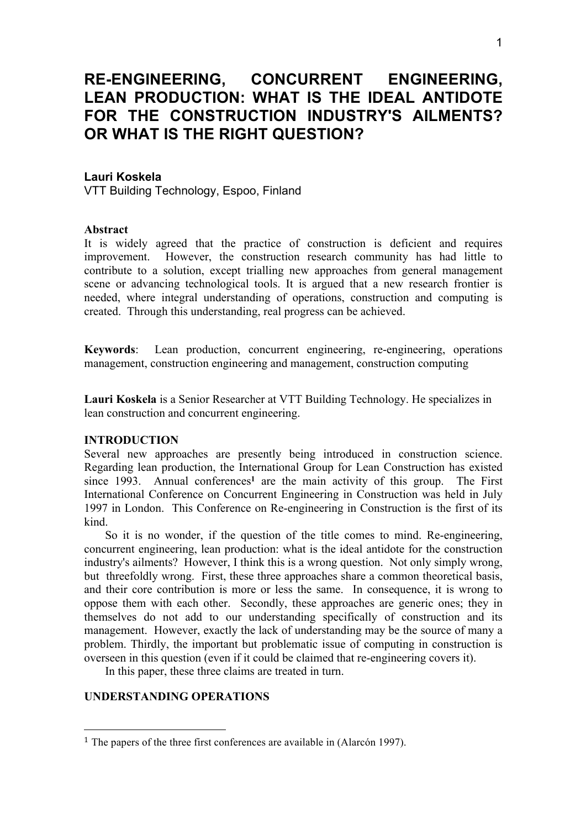# **RE-ENGINEERING, CONCURRENT ENGINEERING, LEAN PRODUCTION: WHAT IS THE IDEAL ANTIDOTE FOR THE CONSTRUCTION INDUSTRY'S AILMENTS? OR WHAT IS THE RIGHT QUESTION?**

# **Lauri Koskela**

VTT Building Technology, Espoo, Finland

#### **Abstract**

It is widely agreed that the practice of construction is deficient and requires improvement. However, the construction research community has had little to contribute to a solution, except trialling new approaches from general management scene or advancing technological tools. It is argued that a new research frontier is needed, where integral understanding of operations, construction and computing is created. Through this understanding, real progress can be achieved.

**Keywords**: Lean production, concurrent engineering, re-engineering, operations management, construction engineering and management, construction computing

**Lauri Koskela** is a Senior Researcher at VTT Building Technology. He specializes in lean construction and concurrent engineering.

# **INTRODUCTION**

Several new approaches are presently being introduced in construction science. Regarding lean production, the International Group for Lean Construction has existed since 1993. Annual conferences**<sup>1</sup>** are the main activity of this group. The First International Conference on Concurrent Engineering in Construction was held in July 1997 in London. This Conference on Re-engineering in Construction is the first of its kind.

So it is no wonder, if the question of the title comes to mind. Re-engineering, concurrent engineering, lean production: what is the ideal antidote for the construction industry's ailments? However, I think this is a wrong question. Not only simply wrong, but threefoldly wrong. First, these three approaches share a common theoretical basis, and their core contribution is more or less the same. In consequence, it is wrong to oppose them with each other. Secondly, these approaches are generic ones; they in themselves do not add to our understanding specifically of construction and its management. However, exactly the lack of understanding may be the source of many a problem. Thirdly, the important but problematic issue of computing in construction is overseen in this question (even if it could be claimed that re-engineering covers it).

In this paper, these three claims are treated in turn.

# **UNDERSTANDING OPERATIONS**

1

<sup>1</sup> The papers of the three first conferences are available in (Alarcón 1997).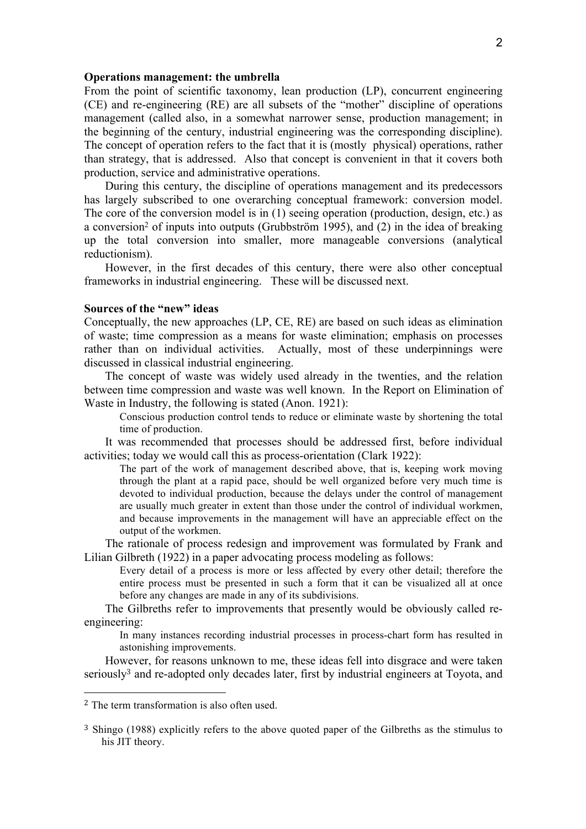#### **Operations management: the umbrella**

From the point of scientific taxonomy, lean production (LP), concurrent engineering (CE) and re-engineering (RE) are all subsets of the "mother" discipline of operations management (called also, in a somewhat narrower sense, production management; in the beginning of the century, industrial engineering was the corresponding discipline). The concept of operation refers to the fact that it is (mostly physical) operations, rather than strategy, that is addressed. Also that concept is convenient in that it covers both production, service and administrative operations.

During this century, the discipline of operations management and its predecessors has largely subscribed to one overarching conceptual framework: conversion model. The core of the conversion model is in (1) seeing operation (production, design, etc.) as a conversion2 of inputs into outputs (Grubbström 1995), and (2) in the idea of breaking up the total conversion into smaller, more manageable conversions (analytical reductionism).

However, in the first decades of this century, there were also other conceptual frameworks in industrial engineering. These will be discussed next.

### **Sources of the "new" ideas**

Conceptually, the new approaches (LP, CE, RE) are based on such ideas as elimination of waste; time compression as a means for waste elimination; emphasis on processes rather than on individual activities. Actually, most of these underpinnings were discussed in classical industrial engineering.

The concept of waste was widely used already in the twenties, and the relation between time compression and waste was well known. In the Report on Elimination of Waste in Industry, the following is stated (Anon. 1921):

Conscious production control tends to reduce or eliminate waste by shortening the total time of production.

It was recommended that processes should be addressed first, before individual activities; today we would call this as process-orientation (Clark 1922):

The part of the work of management described above, that is, keeping work moving through the plant at a rapid pace, should be well organized before very much time is devoted to individual production, because the delays under the control of management are usually much greater in extent than those under the control of individual workmen, and because improvements in the management will have an appreciable effect on the output of the workmen.

The rationale of process redesign and improvement was formulated by Frank and Lilian Gilbreth (1922) in a paper advocating process modeling as follows:

Every detail of a process is more or less affected by every other detail; therefore the entire process must be presented in such a form that it can be visualized all at once before any changes are made in any of its subdivisions.

The Gilbreths refer to improvements that presently would be obviously called reengineering:

In many instances recording industrial processes in process-chart form has resulted in astonishing improvements.

However, for reasons unknown to me, these ideas fell into disgrace and were taken seriously<sup>3</sup> and re-adopted only decades later, first by industrial engineers at Toyota, and

1

<sup>2</sup> The term transformation is also often used.

<sup>3</sup> Shingo (1988) explicitly refers to the above quoted paper of the Gilbreths as the stimulus to his JIT theory.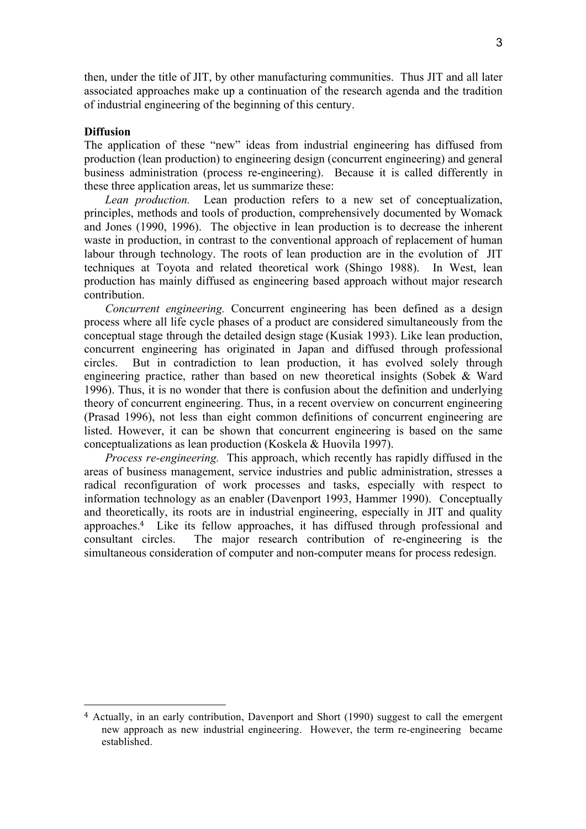then, under the title of JIT, by other manufacturing communities. Thus JIT and all later associated approaches make up a continuation of the research agenda and the tradition of industrial engineering of the beginning of this century.

#### **Diffusion**

1

The application of these "new" ideas from industrial engineering has diffused from production (lean production) to engineering design (concurrent engineering) and general business administration (process re-engineering). Because it is called differently in these three application areas, let us summarize these:

*Lean production.* Lean production refers to a new set of conceptualization, principles, methods and tools of production, comprehensively documented by Womack and Jones (1990, 1996). The objective in lean production is to decrease the inherent waste in production, in contrast to the conventional approach of replacement of human labour through technology. The roots of lean production are in the evolution of JIT techniques at Toyota and related theoretical work (Shingo 1988). In West, lean production has mainly diffused as engineering based approach without major research contribution.

*Concurrent engineering.* Concurrent engineering has been defined as a design process where all life cycle phases of a product are considered simultaneously from the conceptual stage through the detailed design stage (Kusiak 1993). Like lean production, concurrent engineering has originated in Japan and diffused through professional circles. But in contradiction to lean production, it has evolved solely through engineering practice, rather than based on new theoretical insights (Sobek & Ward 1996). Thus, it is no wonder that there is confusion about the definition and underlying theory of concurrent engineering. Thus, in a recent overview on concurrent engineering (Prasad 1996), not less than eight common definitions of concurrent engineering are listed. However, it can be shown that concurrent engineering is based on the same conceptualizations as lean production (Koskela & Huovila 1997).

*Process re-engineering.* This approach, which recently has rapidly diffused in the areas of business management, service industries and public administration, stresses a radical reconfiguration of work processes and tasks, especially with respect to information technology as an enabler (Davenport 1993, Hammer 1990). Conceptually and theoretically, its roots are in industrial engineering, especially in JIT and quality approaches.4 Like its fellow approaches, it has diffused through professional and consultant circles. The major research contribution of re-engineering is the simultaneous consideration of computer and non-computer means for process redesign.

<sup>4</sup> Actually, in an early contribution, Davenport and Short (1990) suggest to call the emergent new approach as new industrial engineering. However, the term re-engineering became established.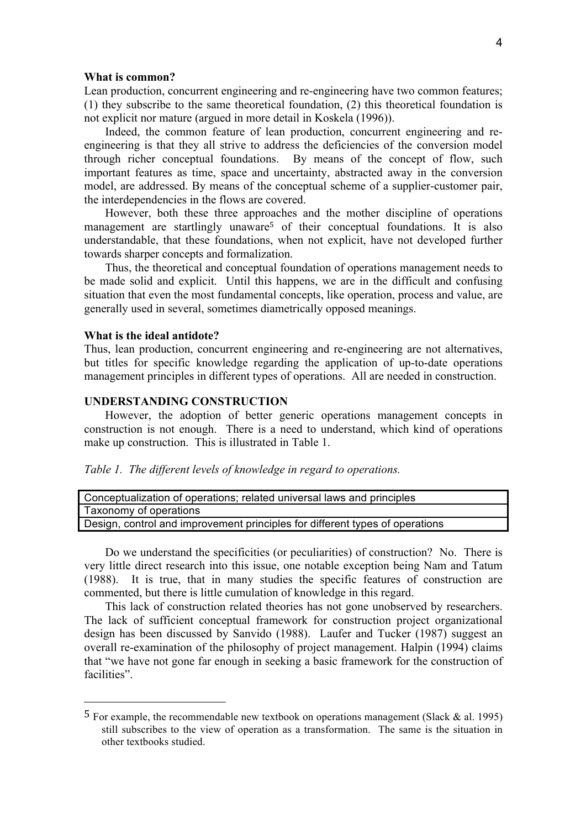#### **What is common?**

Lean production, concurrent engineering and re-engineering have two common features; (1) they subscribe to the same theoretical foundation, (2) this theoretical foundation is not explicit nor mature (argued in more detail in Koskela (1996)).

Indeed, the common feature of lean production, concurrent engineering and reengineering is that they all strive to address the deficiencies of the conversion model through richer conceptual foundations. By means of the concept of flow, such important features as time, space and uncertainty, abstracted away in the conversion model, are addressed. By means of the conceptual scheme of a supplier-customer pair, the interdependencies in the flows are covered.

However, both these three approaches and the mother discipline of operations management are startlingly unaware<sup>5</sup> of their conceptual foundations. It is also understandable, that these foundations, when not explicit, have not developed further towards sharper concepts and formalization.

Thus, the theoretical and conceptual foundation of operations management needs to be made solid and explicit. Until this happens, we are in the difficult and confusing situation that even the most fundamental concepts, like operation, process and value, are generally used in several, sometimes diametrically opposed meanings.

#### **What is the ideal antidote?**

1

Thus, lean production, concurrent engineering and re-engineering are not alternatives, but titles for specific knowledge regarding the application of up-to-date operations management principles in different types of operations. All are needed in construction.

#### **UNDERSTANDING CONSTRUCTION**

However, the adoption of better generic operations management concepts in construction is not enough. There is a need to understand, which kind of operations make up construction. This is illustrated in Table 1.

*Table 1. The different levels of knowledge in regard to operations.*

| Conceptualization of operations; related universal laws and principles       |  |
|------------------------------------------------------------------------------|--|
| Taxonomy of operations                                                       |  |
| Design, control and improvement principles for different types of operations |  |
|                                                                              |  |

Do we understand the specificities (or peculiarities) of construction? No. There is very little direct research into this issue, one notable exception being Nam and Tatum (1988). It is true, that in many studies the specific features of construction are commented, but there is little cumulation of knowledge in this regard.

This lack of construction related theories has not gone unobserved by researchers. The lack of sufficient conceptual framework for construction project organizational design has been discussed by Sanvido (1988). Laufer and Tucker (1987) suggest an overall re-examination of the philosophy of project management. Halpin (1994) claims that "we have not gone far enough in seeking a basic framework for the construction of facilities".

 $5$  For example, the recommendable new textbook on operations management (Slack & al. 1995) still subscribes to the view of operation as a transformation. The same is the situation in other textbooks studied.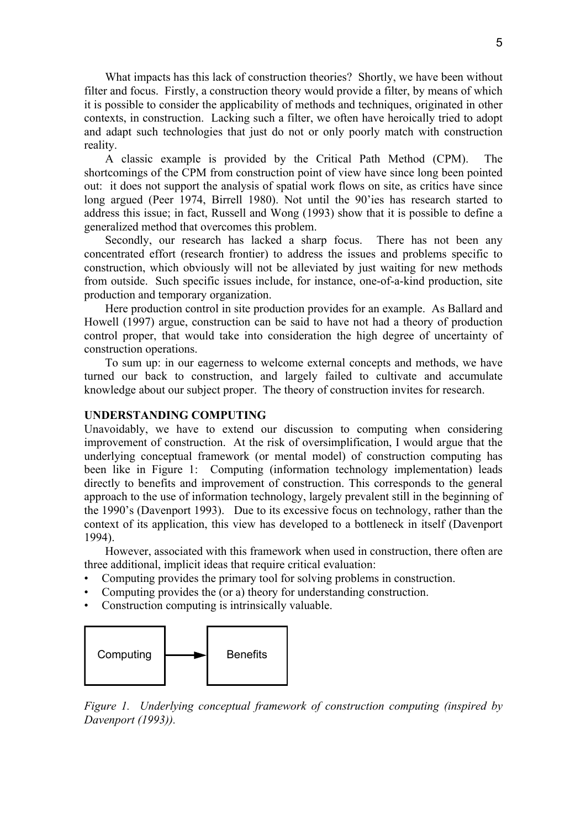What impacts has this lack of construction theories? Shortly, we have been without filter and focus. Firstly, a construction theory would provide a filter, by means of which it is possible to consider the applicability of methods and techniques, originated in other contexts, in construction. Lacking such a filter, we often have heroically tried to adopt and adapt such technologies that just do not or only poorly match with construction reality.

A classic example is provided by the Critical Path Method (CPM). The shortcomings of the CPM from construction point of view have since long been pointed out: it does not support the analysis of spatial work flows on site, as critics have since long argued (Peer 1974, Birrell 1980). Not until the 90'ies has research started to address this issue; in fact, Russell and Wong (1993) show that it is possible to define a generalized method that overcomes this problem.

Secondly, our research has lacked a sharp focus. There has not been any concentrated effort (research frontier) to address the issues and problems specific to construction, which obviously will not be alleviated by just waiting for new methods from outside. Such specific issues include, for instance, one-of-a-kind production, site production and temporary organization.

Here production control in site production provides for an example. As Ballard and Howell (1997) argue, construction can be said to have not had a theory of production control proper, that would take into consideration the high degree of uncertainty of construction operations.

To sum up: in our eagerness to welcome external concepts and methods, we have turned our back to construction, and largely failed to cultivate and accumulate knowledge about our subject proper. The theory of construction invites for research.

# **UNDERSTANDING COMPUTING**

Unavoidably, we have to extend our discussion to computing when considering improvement of construction. At the risk of oversimplification, I would argue that the underlying conceptual framework (or mental model) of construction computing has been like in Figure 1: Computing (information technology implementation) leads directly to benefits and improvement of construction. This corresponds to the general approach to the use of information technology, largely prevalent still in the beginning of the 1990's (Davenport 1993). Due to its excessive focus on technology, rather than the context of its application, this view has developed to a bottleneck in itself (Davenport 1994).

However, associated with this framework when used in construction, there often are three additional, implicit ideas that require critical evaluation:

- Computing provides the primary tool for solving problems in construction.
- Computing provides the (or a) theory for understanding construction.
- Construction computing is intrinsically valuable.



*Figure 1. Underlying conceptual framework of construction computing (inspired by Davenport (1993)).*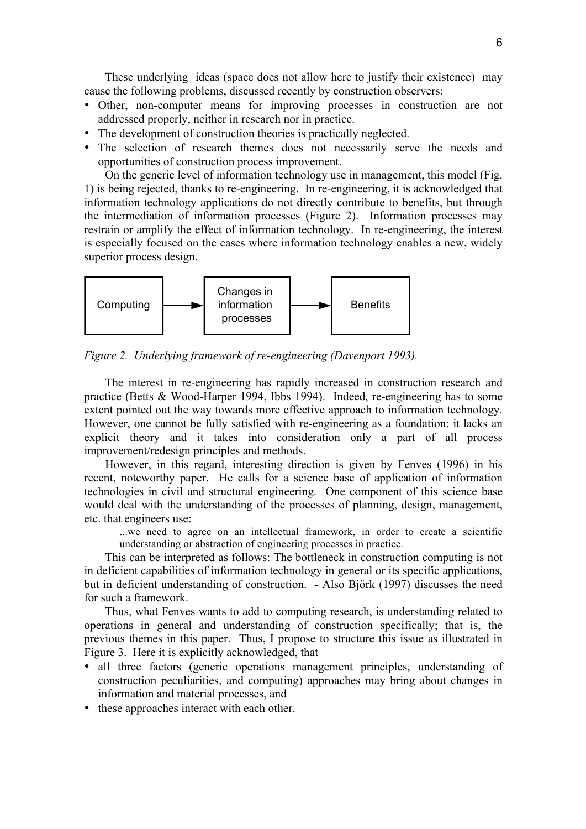These underlying ideas (space does not allow here to justify their existence) may cause the following problems, discussed recently by construction observers:

- Other, non-computer means for improving processes in construction are not addressed properly, neither in research nor in practice.
- The development of construction theories is practically neglected.
- The selection of research themes does not necessarily serve the needs and opportunities of construction process improvement.

On the generic level of information technology use in management, this model (Fig. 1) is being rejected, thanks to re-engineering. In re-engineering, it is acknowledged that information technology applications do not directly contribute to benefits, but through the intermediation of information processes (Figure 2). Information processes may restrain or amplify the effect of information technology. In re-engineering, the interest is especially focused on the cases where information technology enables a new, widely superior process design.



*Figure 2. Underlying framework of re-engineering (Davenport 1993).*

The interest in re-engineering has rapidly increased in construction research and practice (Betts & Wood-Harper 1994, Ibbs 1994). Indeed, re-engineering has to some extent pointed out the way towards more effective approach to information technology. However, one cannot be fully satisfied with re-engineering as a foundation: it lacks an explicit theory and it takes into consideration only a part of all process improvement/redesign principles and methods.

However, in this regard, interesting direction is given by Fenves (1996) in his recent, noteworthy paper. He calls for a science base of application of information technologies in civil and structural engineering. One component of this science base would deal with the understanding of the processes of planning, design, management, etc. that engineers use:

...we need to agree on an intellectual framework, in order to create a scientific understanding or abstraction of engineering processes in practice.

This can be interpreted as follows: The bottleneck in construction computing is not in deficient capabilities of information technology in general or its specific applications, but in deficient understanding of construction. **-** Also Björk (1997) discusses the need for such a framework.

Thus, what Fenves wants to add to computing research, is understanding related to operations in general and understanding of construction specifically; that is, the previous themes in this paper. Thus, I propose to structure this issue as illustrated in Figure 3. Here it is explicitly acknowledged, that

- all three factors (generic operations management principles, understanding of construction peculiarities, and computing) approaches may bring about changes in information and material processes, and
- these approaches interact with each other.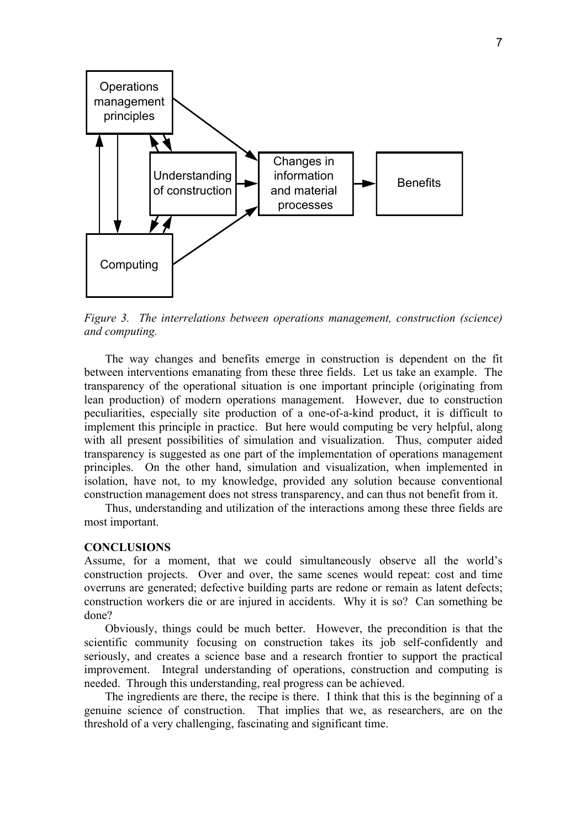

*Figure 3. The interrelations between operations management, construction (science) and computing.*

The way changes and benefits emerge in construction is dependent on the fit between interventions emanating from these three fields. Let us take an example. The transparency of the operational situation is one important principle (originating from lean production) of modern operations management. However, due to construction peculiarities, especially site production of a one-of-a-kind product, it is difficult to implement this principle in practice. But here would computing be very helpful, along with all present possibilities of simulation and visualization. Thus, computer aided transparency is suggested as one part of the implementation of operations management principles. On the other hand, simulation and visualization, when implemented in isolation, have not, to my knowledge, provided any solution because conventional construction management does not stress transparency, and can thus not benefit from it.

Thus, understanding and utilization of the interactions among these three fields are most important.

#### **CONCLUSIONS**

Assume, for a moment, that we could simultaneously observe all the world's construction projects. Over and over, the same scenes would repeat: cost and time overruns are generated; defective building parts are redone or remain as latent defects; construction workers die or are injured in accidents. Why it is so? Can something be done?

Obviously, things could be much better. However, the precondition is that the scientific community focusing on construction takes its job self-confidently and seriously, and creates a science base and a research frontier to support the practical improvement. Integral understanding of operations, construction and computing is needed. Through this understanding, real progress can be achieved.

The ingredients are there, the recipe is there. I think that this is the beginning of a genuine science of construction. That implies that we, as researchers, are on the threshold of a very challenging, fascinating and significant time.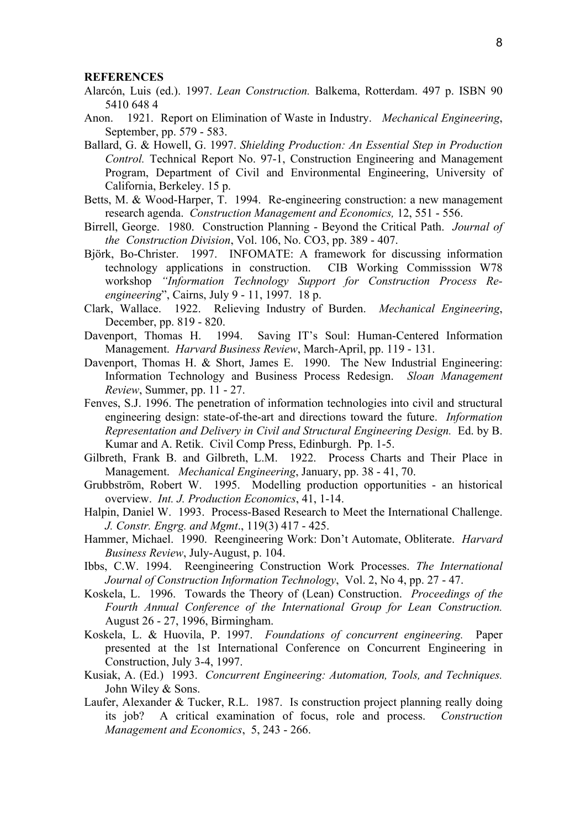#### **REFERENCES**

- Alarcón, Luis (ed.). 1997. *Lean Construction.* Balkema, Rotterdam. 497 p. ISBN 90 5410 648 4
- Anon. 1921. Report on Elimination of Waste in Industry. *Mechanical Engineering*, September, pp. 579 - 583.
- Ballard, G. & Howell, G. 1997. *Shielding Production: An Essential Step in Production Control.* Technical Report No. 97-1, Construction Engineering and Management Program, Department of Civil and Environmental Engineering, University of California, Berkeley. 15 p.
- Betts, M. & Wood-Harper, T. 1994. Re-engineering construction: a new management research agenda. *Construction Management and Economics,* 12, 551 - 556.
- Birrell, George. 1980. Construction Planning Beyond the Critical Path. *Journal of the Construction Division*, Vol. 106, No. CO3, pp. 389 - 407.
- Björk, Bo-Christer. 1997. INFOMATE: A framework for discussing information technology applications in construction. CIB Working Commisssion W78 workshop *"Information Technology Support for Construction Process Reengineering*", Cairns, July 9 - 11, 1997. 18 p.
- Clark, Wallace. 1922. Relieving Industry of Burden. *Mechanical Engineering*, December, pp. 819 - 820.
- Davenport, Thomas H. 1994. Saving IT's Soul: Human-Centered Information Management. *Harvard Business Review*, March-April, pp. 119 - 131.
- Davenport, Thomas H. & Short, James E. 1990. The New Industrial Engineering: Information Technology and Business Process Redesign. *Sloan Management Review*, Summer, pp. 11 - 27.
- Fenves, S.J. 1996. The penetration of information technologies into civil and structural engineering design: state-of-the-art and directions toward the future. *Information Representation and Delivery in Civil and Structural Engineering Design.* Ed. by B. Kumar and A. Retik. Civil Comp Press, Edinburgh. Pp. 1-5.
- Gilbreth, Frank B. and Gilbreth, L.M. 1922. Process Charts and Their Place in Management. *Mechanical Engineering*, January, pp. 38 - 41, 70.
- Grubbström, Robert W. 1995. Modelling production opportunities an historical overview. *Int. J. Production Economics*, 41, 1-14.
- Halpin, Daniel W. 1993. Process-Based Research to Meet the International Challenge. *J. Constr. Engrg. and Mgmt*., 119(3) 417 - 425.
- Hammer, Michael. 1990. Reengineering Work: Don't Automate, Obliterate. *Harvard Business Review*, July-August, p. 104.
- Ibbs, C.W. 1994. Reengineering Construction Work Processes. *The International Journal of Construction Information Technology*, Vol. 2, No 4, pp. 27 - 47.
- Koskela, L. 1996. Towards the Theory of (Lean) Construction. *Proceedings of the Fourth Annual Conference of the International Group for Lean Construction.* August 26 - 27, 1996, Birmingham.
- Koskela, L. & Huovila, P. 1997. *Foundations of concurrent engineering.* Paper presented at the 1st International Conference on Concurrent Engineering in Construction, July 3-4, 1997.
- Kusiak, A. (Ed.) 1993. *Concurrent Engineering: Automation, Tools, and Techniques.* John Wiley & Sons.
- Laufer, Alexander & Tucker, R.L. 1987. Is construction project planning really doing its job? A critical examination of focus, role and process. *Construction Management and Economics*, 5, 243 - 266.